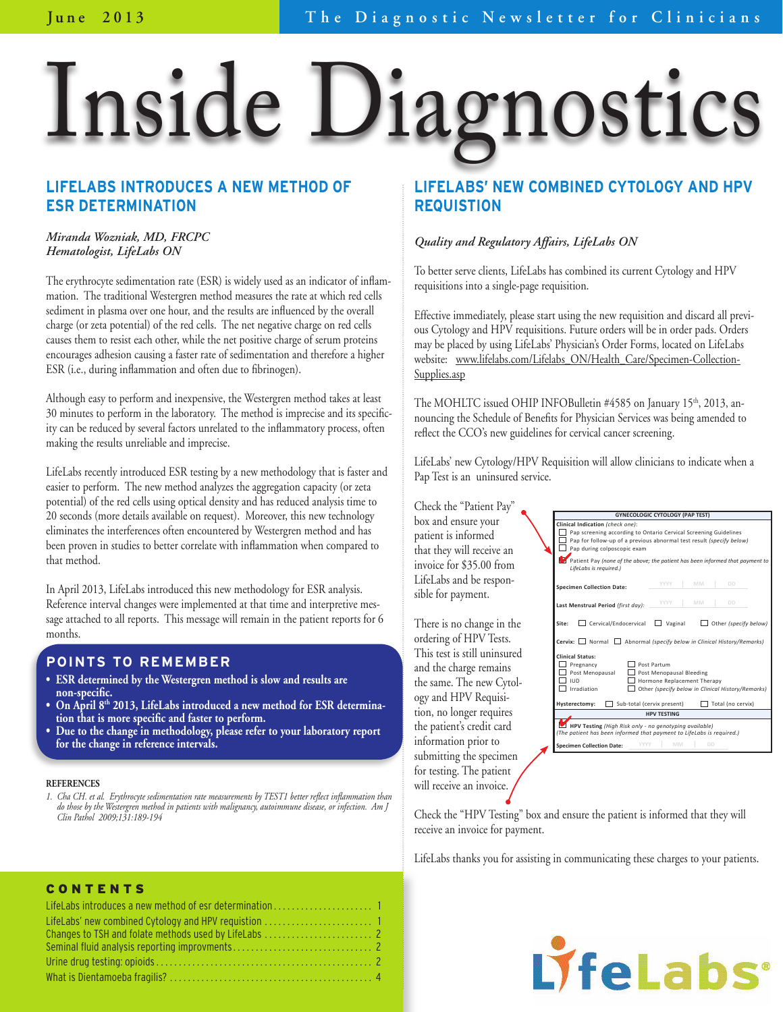# Inside Diagnostics

#### **LIFELABS INTRODUCES A NEW METHOD OF ESR DETERMINATION**

#### *Miranda Wozniak, MD, FRCPC Hematologist, LifeLabs ON*

The erythrocyte sedimentation rate (ESR) is widely used as an indicator of inflammation. The traditional Westergren method measures the rate at which red cells sediment in plasma over one hour, and the results are influenced by the overall charge (or zeta potential) of the red cells. The net negative charge on red cells causes them to resist each other, while the net positive charge of serum proteins encourages adhesion causing a faster rate of sedimentation and therefore a higher ESR (i.e., during inflammation and often due to fibrinogen).

Although easy to perform and inexpensive, the Westergren method takes at least 30 minutes to perform in the laboratory. The method is imprecise and its specificity can be reduced by several factors unrelated to the inflammatory process, often making the results unreliable and imprecise.

LifeLabs recently introduced ESR testing by a new methodology that is faster and easier to perform. The new method analyzes the aggregation capacity (or zeta potential) of the red cells using optical density and has reduced analysis time to 20 seconds (more details available on request). Moreover, this new technology eliminates the interferences often encountered by Westergren method and has been proven in studies to better correlate with inflammation when compared to that method.

In April 2013, LifeLabs introduced this new methodology for ESR analysis. Reference interval changes were implemented at that time and interpretive message attached to all reports. This message will remain in the patient reports for 6 months.

#### **Points to Remember**

- **ESR determined by the Westergren method is slow and results are non-specific.**
- **On April 8th 2013, LifeLabs introduced a new method for ESR determination that is more specific and faster to perform.**
- **Due to the change in methodology, please refer to your laboratory report for the change in reference intervals.**

#### **References**

*1. Cha CH. et al. Erythrocyte sedimentation rate measurements by TEST1 better reflect inflammation than do those by the Westergren method in patients with malignancy, autoimmune disease, or infection. Am J Clin Pathol 2009;131:189-194* 

#### **LIFELABS' NEW COMBINED CYTOLOGY AND HPV REQUISTION**

#### *Quality and Regulatory Affairs, LifeLabs ON*

To better serve clients, LifeLabs has combined its current Cytology and HPV requisitions into a single-page requisition.

Effective immediately, please start using the new requisition and discard all previous Cytology and HPV requisitions. Future orders will be in order pads. Orders may be placed by using LifeLabs' Physician's Order Forms, located on LifeLabs website: <u>www.lifelabs.com/Lifelabs ON/Health Care/Specimen-Collection-</u> Supplies.asp

The MOHLTC issued OHIP INFOBulletin #4585 on January 15th, 2013, announcing the Schedule of Benefits for Physician Services was being amended to reflect the CCO's new guidelines for cervical cancer screening.  $\mathbf{u}$  –

LifeLabs' new Cytology/HPV Requisition will allow clinicians to indicate when a Pap Test is an uninsured service. Patient First Name & Middle Names *(as per Health Card)*

Check the "Patient Pay" box and ensure your patient is informed that they will receive an invoice for \$35.00 from LifeLabs and be responsible for payment.

There is no change in the ordering of HPV Tests. This test is still uninsured and the charge remains the same. The new Cytology and HPV Requisition, no longer requires the patient's credit card information prior to submitting the specimen for testing. The patient will receive an invoice.

|  | <b>GYNECOLOGIC CYTOLOGY (PAP TEST)</b><br>Clinical Indication (check one):<br>Pap screening according to Ontario Cervical Screening Guidelines<br>Pap for follow-up of a previous abnormal test result (specify below)<br>Pap during colposcopic exam<br>Patient Pay (none of the above; the patient has been informed that payment to<br>LifeLabs is required.) |  |  |  |
|--|------------------------------------------------------------------------------------------------------------------------------------------------------------------------------------------------------------------------------------------------------------------------------------------------------------------------------------------------------------------|--|--|--|
|  |                                                                                                                                                                                                                                                                                                                                                                  |  |  |  |
|  | <b>YYYY</b><br>MM<br><b>DD</b><br><b>Specimen Collection Date:</b>                                                                                                                                                                                                                                                                                               |  |  |  |
|  | YYYY<br>MM<br><b>DD</b><br>Last Menstrual Period (first day):                                                                                                                                                                                                                                                                                                    |  |  |  |
|  | Site:<br>Cervical/Endocervical<br>Vaginal<br>Other (specify below)                                                                                                                                                                                                                                                                                               |  |  |  |
|  | <b>Cervix:</b> $\Box$ Normal $\Box$ Abnormal (specify below in Clinical History/Remarks)                                                                                                                                                                                                                                                                         |  |  |  |
|  | <b>Clinical Status:</b><br>Post Partum<br>Pregnancy<br>Post Menopausal<br>Post Menopausal Bleeding<br><b>IUD</b><br>Hormone Replacement Therapy<br>Irradiation<br>Other (specify below in Clinical History/Remarks)                                                                                                                                              |  |  |  |
|  | Hysterectomy:<br>Sub-total (cervix present)<br>Total (no cervix)                                                                                                                                                                                                                                                                                                 |  |  |  |
|  | <b>HPV TESTING</b>                                                                                                                                                                                                                                                                                                                                               |  |  |  |
|  | HPV Testing (High Risk only - no genotyping available)<br>(The patient has been informed that payment to LifeLabs is required.)                                                                                                                                                                                                                                  |  |  |  |
|  | MM<br><b>DD</b><br>YYYY<br><b>Specimen Collection Date:</b>                                                                                                                                                                                                                                                                                                      |  |  |  |

Check the "HPV Testing" box and ensure the patient is informed that they will receive an invoice for payment.  $\frac{3}{5}$ 

LifeLabs thanks you for assisting in communicating these charges to your patients.

#### **CONTENTS**

# LyfeLabs<sup>®</sup>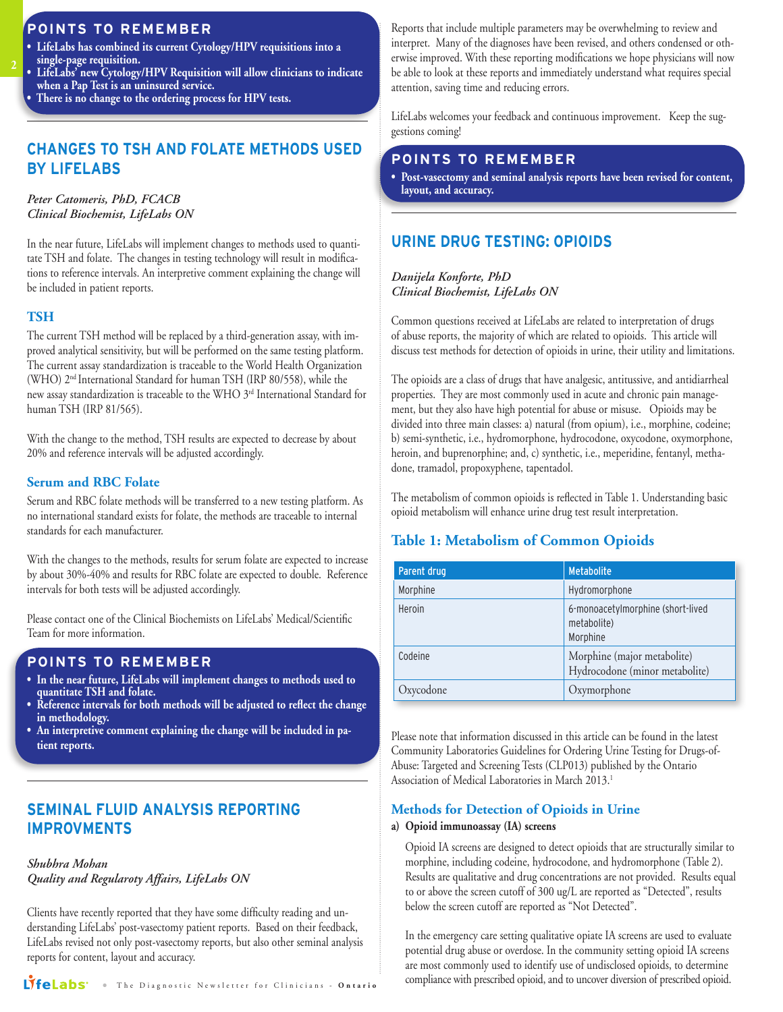#### **POINTS TO REMEMBER**

- **LifeLabs has combined its current Cytology/HPV requisitions into a single-page requisition.**
- **LifeLabs' new Cytology/HPV Requisition will allow clinicians to indicate when a Pap Test is an uninsured service.**
- **There is no change to the ordering process for HPV tests.**

#### **CHANGES TO TSH AND FOLATE METHODS USED BY LIFELABS**

#### *Peter Catomeris, PhD, FCACB Clinical Biochemist, LifeLabs ON*

In the near future, LifeLabs will implement changes to methods used to quantitate TSH and folate. The changes in testing technology will result in modifications to reference intervals. An interpretive comment explaining the change will be included in patient reports.

#### **TSH**

**2**

The current TSH method will be replaced by a third-generation assay, with improved analytical sensitivity, but will be performed on the same testing platform. The current assay standardization is traceable to the World Health Organization (WHO) 2nd International Standard for human TSH (IRP 80/558), while the new assay standardization is traceable to the WHO 3rd International Standard for human TSH (IRP 81/565).

With the change to the method, TSH results are expected to decrease by about 20% and reference intervals will be adjusted accordingly.

#### **Serum and RBC Folate**

Serum and RBC folate methods will be transferred to a new testing platform. As no international standard exists for folate, the methods are traceable to internal standards for each manufacturer.

With the changes to the methods, results for serum folate are expected to increase by about 30%-40% and results for RBC folate are expected to double. Reference intervals for both tests will be adjusted accordingly.

Please contact one of the Clinical Biochemists on LifeLabs' Medical/Scientific Team for more information.

#### **POINTS TO REMEMBER**

- **In the near future, LifeLabs will implement changes to methods used to quantitate TSH and folate.**
- **Reference intervals for both methods will be adjusted to reflect the change in methodology.**
- **An interpretive comment explaining the change will be included in patient reports.**

#### **SEMINAL FLUID ANALYSIS REPORTING IMPROVMENTS**

#### *Shubhra Mohan Quality and Regularoty Affairs, LifeLabs ON*

Clients have recently reported that they have some difficulty reading and understanding LifeLabs' post-vasectomy patient reports. Based on their feedback, LifeLabs revised not only post-vasectomy reports, but also other seminal analysis reports for content, layout and accuracy.

LIfeLabs' The Diagnostic Newsletter for Clinicians - Ontario

Reports that include multiple parameters may be overwhelming to review and interpret. Many of the diagnoses have been revised, and others condensed or otherwise improved. With these reporting modifications we hope physicians will now be able to look at these reports and immediately understand what requires special attention, saving time and reducing errors.

LifeLabs welcomes your feedback and continuous improvement. Keep the suggestions coming!

#### **POINTS TO REMEMBER**

**• Post-vasectomy and seminal analysis reports have been revised for content, layout, and accuracy.** 

#### **Urine Drug Testing: Opioids**

*Danijela Konforte, PhD Clinical Biochemist, LifeLabs ON*

Common questions received at LifeLabs are related to interpretation of drugs of abuse reports, the majority of which are related to opioids. This article will discuss test methods for detection of opioids in urine, their utility and limitations.

The opioids are a class of drugs that have analgesic, antitussive, and antidiarrheal properties. They are most commonly used in acute and chronic pain management, but they also have high potential for abuse or misuse. Opioids may be divided into three main classes: a) natural (from opium), i.e., morphine, codeine; b) semi-synthetic, i.e., hydromorphone, hydrocodone, oxycodone, oxymorphone, heroin, and buprenorphine; and, c) synthetic, i.e., meperidine, fentanyl, methadone, tramadol, propoxyphene, tapentadol.

The metabolism of common opioids is reflected in Table 1. Understanding basic opioid metabolism will enhance urine drug test result interpretation.

#### **Table 1: Metabolism of Common Opioids**

| Parent drug | <b>Metabolite</b>                                             |
|-------------|---------------------------------------------------------------|
| Morphine    | Hydromorphone                                                 |
| Heroin      | 6-monoacetylmorphine (short-lived<br>metabolite)<br>Morphine  |
| Codeine     | Morphine (major metabolite)<br>Hydrocodone (minor metabolite) |
| Oxycodone   | Oxymorphone                                                   |

Please note that information discussed in this article can be found in the latest Community Laboratories Guidelines for Ordering Urine Testing for Drugs-of-Abuse: Targeted and Screening Tests (CLP013) published by the Ontario Association of Medical Laboratories in March 2013.1

#### **Methods for Detection of Opioids in Urine**

#### **a) Opioid immunoassay (IA) screens**

 Opioid IA screens are designed to detect opioids that are structurally similar to morphine, including codeine, hydrocodone, and hydromorphone (Table 2). Results are qualitative and drug concentrations are not provided. Results equal to or above the screen cutoff of 300 ug/L are reported as "Detected", results below the screen cutoff are reported as "Not Detected".

 In the emergency care setting qualitative opiate IA screens are used to evaluate potential drug abuse or overdose. In the community setting opioid IA screens are most commonly used to identify use of undisclosed opioids, to determine compliance with prescribed opioid, and to uncover diversion of prescribed opioid.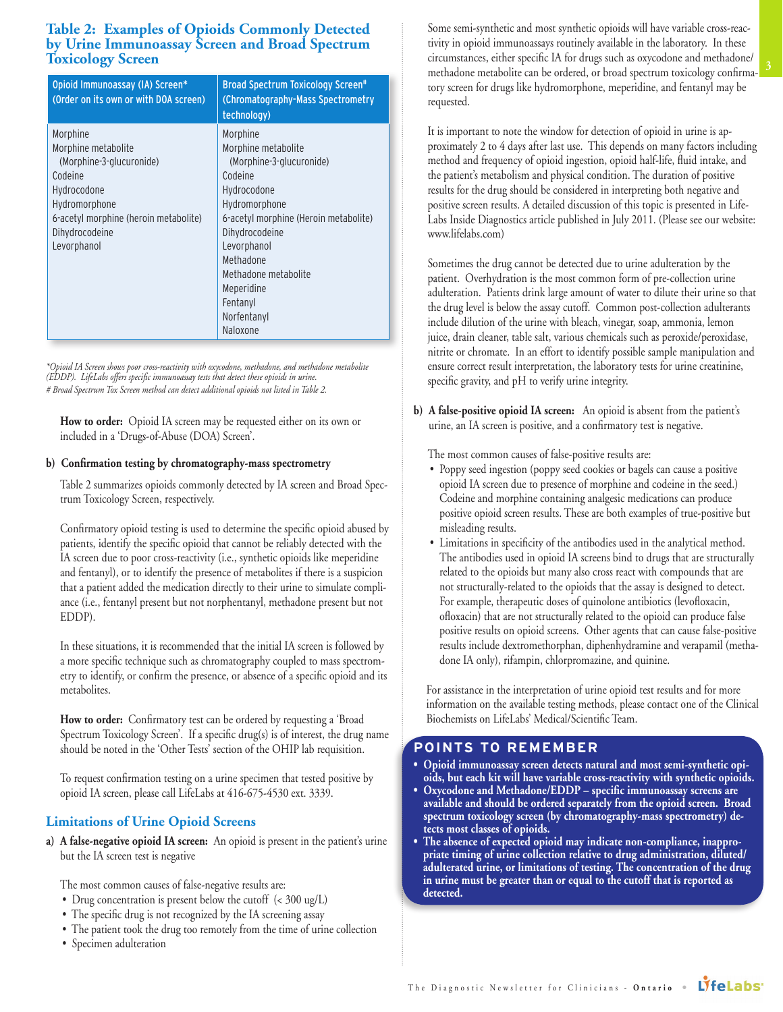### **Table 2: Examples of Opioids Commonly Detected by Urine Immunoassay Screen and Broad Spectrum Toxicology Screen**

| Opioid Immunoassay (IA) Screen*<br>(Order on its own or with DOA screen)                                                                                                         | <b>Broad Spectrum Toxicology Screen#</b><br>(Chromatography-Mass Spectrometry<br>technology)                                                                                                                          |
|----------------------------------------------------------------------------------------------------------------------------------------------------------------------------------|-----------------------------------------------------------------------------------------------------------------------------------------------------------------------------------------------------------------------|
| Morphine<br>Morphine metabolite<br>(Morphine-3-glucuronide)<br>Codeine<br>Hydrocodone<br>Hydromorphone<br>6-acetyl morphine (heroin metabolite)<br>Dihydrocodeine<br>Levorphanol | Morphine<br>Morphine metabolite<br>(Morphine-3-glucuronide)<br>Codeine<br>Hydrocodone<br>Hydromorphone<br>6-acetyl morphine (Heroin metabolite)<br>Dihydrocodeine<br>Levorphanol<br>Methadone<br>Methadone metabolite |
|                                                                                                                                                                                  | Meperidine<br>Fentanyl<br>Norfentanyl<br>Naloxone                                                                                                                                                                     |

*\*Opioid IA Screen shows poor cross-reactivity with oxycodone, methadone, and methadone metabolite (EDDP). LifeLabs offers specific immunoassay tests that detect these opioids in urine. # Broad Spectrum Tox Screen method can detect additional opioids not listed in Table 2.* 

 **How to order:** Opioid IA screen may be requested either on its own or included in a 'Drugs-of-Abuse (DOA) Screen'.

#### **b) Confirmation testing by chromatography-mass spectrometry**

 Table 2 summarizes opioids commonly detected by IA screen and Broad Spectrum Toxicology Screen, respectively.

 Confirmatory opioid testing is used to determine the specific opioid abused by patients, identify the specific opioid that cannot be reliably detected with the IA screen due to poor cross-reactivity (i.e., synthetic opioids like meperidine and fentanyl), or to identify the presence of metabolites if there is a suspicion that a patient added the medication directly to their urine to simulate compliance (i.e., fentanyl present but not norphentanyl, methadone present but not EDDP).

 In these situations, it is recommended that the initial IA screen is followed by a more specific technique such as chromatography coupled to mass spectrometry to identify, or confirm the presence, or absence of a specific opioid and its metabolites.

 **How to order:** Confirmatory test can be ordered by requesting a 'Broad Spectrum Toxicology Screen'. If a specific drug(s) is of interest, the drug name should be noted in the 'Other Tests' section of the OHIP lab requisition.

 To request confirmation testing on a urine specimen that tested positive by opioid IA screen, please call LifeLabs at 416-675-4530 ext. 3339.

#### **Limitations of Urine Opioid Screens**

**a) A false-negative opioid IA screen:** An opioid is present in the patient's urine but the IA screen test is negative

The most common causes of false-negative results are:

- Drug concentration is present below the cutoff (< 300 ug/L)
- The specific drug is not recognized by the IA screening assay
- The patient took the drug too remotely from the time of urine collection
- Specimen adulteration

 Some semi-synthetic and most synthetic opioids will have variable cross-reactivity in opioid immunoassays routinely available in the laboratory. In these circumstances, either specific IA for drugs such as oxycodone and methadone/ methadone metabolite can be ordered, or broad spectrum toxicology confirmatory screen for drugs like hydromorphone, meperidine, and fentanyl may be requested.

**3**

 It is important to note the window for detection of opioid in urine is approximately 2 to 4 days after last use. This depends on many factors including method and frequency of opioid ingestion, opioid half-life, fluid intake, and the patient's metabolism and physical condition. The duration of positive results for the drug should be considered in interpreting both negative and positive screen results. A detailed discussion of this topic is presented in Life-Labs Inside Diagnostics article published in July 2011. (Please see our website: www.lifelabs.com)

 Sometimes the drug cannot be detected due to urine adulteration by the patient. Overhydration is the most common form of pre-collection urine adulteration. Patients drink large amount of water to dilute their urine so that the drug level is below the assay cutoff. Common post-collection adulterants include dilution of the urine with bleach, vinegar, soap, ammonia, lemon juice, drain cleaner, table salt, various chemicals such as peroxide/peroxidase, nitrite or chromate. In an effort to identify possible sample manipulation and ensure correct result interpretation, the laboratory tests for urine creatinine, specific gravity, and pH to verify urine integrity.

**b) A false-positive opioid IA screen:** An opioid is absent from the patient's urine, an IA screen is positive, and a confirmatory test is negative.

The most common causes of false-positive results are:

- Poppy seed ingestion (poppy seed cookies or bagels can cause a positive opioid IA screen due to presence of morphine and codeine in the seed.) Codeine and morphine containing analgesic medications can produce positive opioid screen results. These are both examples of true-positive but misleading results.
- Limitations in specificity of the antibodies used in the analytical method. The antibodies used in opioid IA screens bind to drugs that are structurally related to the opioids but many also cross react with compounds that are not structurally-related to the opioids that the assay is designed to detect. For example, therapeutic doses of quinolone antibiotics (levofloxacin, ofloxacin) that are not structurally related to the opioid can produce false positive results on opioid screens. Other agents that can cause false-positive results include dextromethorphan, diphenhydramine and verapamil (methadone IA only), rifampin, chlorpromazine, and quinine.

 For assistance in the interpretation of urine opioid test results and for more information on the available testing methods, please contact one of the Clinical Biochemists on LifeLabs' Medical/Scientific Team.

#### **POINTS TO REMEMBER**

- **Opioid immunoassay screen detects natural and most semi-synthetic opioids, but each kit will have variable cross-reactivity with synthetic opioids.**
- **Oxycodone and Methadone/EDDP specific immunoassay screens are available and should be ordered separately from the opioid screen. Broad spectrum toxicology screen (by chromatography-mass spectrometry) detects most classes of opioids.**
- **The absence of expected opioid may indicate non-compliance, inappropriate timing of urine collection relative to drug administration, diluted/ adulterated urine, or limitations of testing. The concentration of the drug in urine must be greater than or equal to the cutoff that is reported as detected.**